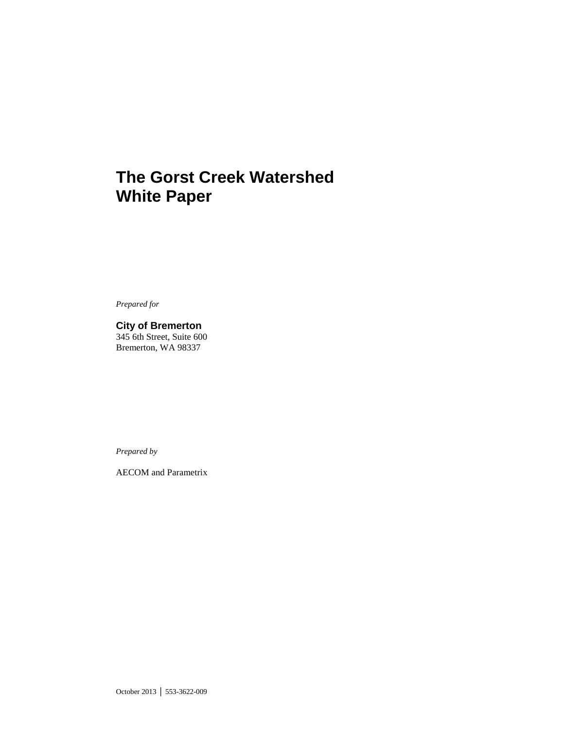# **The Gorst Creek Watershed White Paper**

*Prepared for*

**City of Bremerton** 345 6th Street, Suite 600 Bremerton, WA 98337

*Prepared by*

AECOM and Parametrix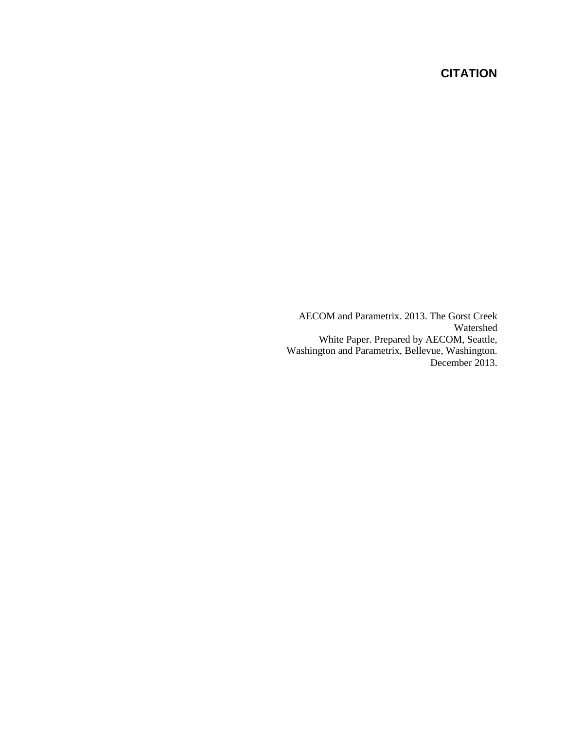# **CITATION**

AECOM and Parametrix. 2013. The Gorst Creek Watershed White Paper. Prepared by AECOM, Seattle, Washington and Parametrix, Bellevue, Washington. December 2013.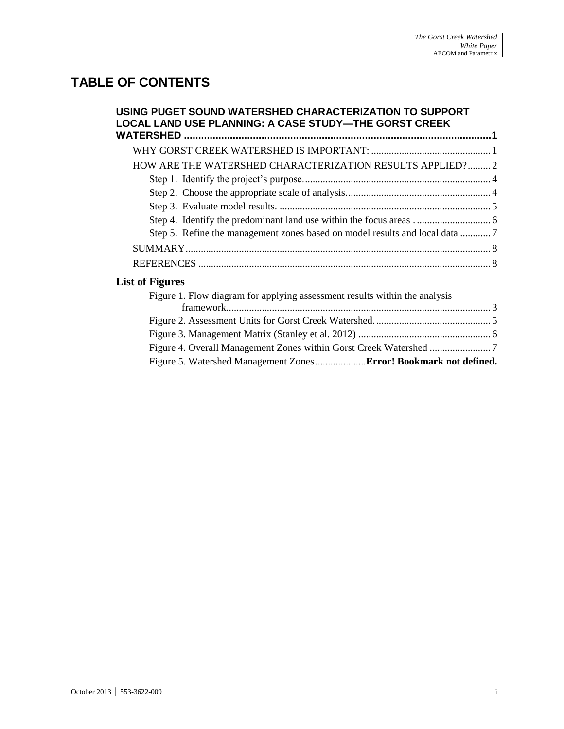# **TABLE OF CONTENTS**

| USING PUGET SOUND WATERSHED CHARACTERIZATION TO SUPPORT<br><b>LOCAL LAND USE PLANNING: A CASE STUDY-THE GORST CREEK</b> |  |
|-------------------------------------------------------------------------------------------------------------------------|--|
|                                                                                                                         |  |
|                                                                                                                         |  |
| HOW ARE THE WATERSHED CHARACTERIZATION RESULTS APPLIED? 2                                                               |  |
|                                                                                                                         |  |
|                                                                                                                         |  |
|                                                                                                                         |  |
|                                                                                                                         |  |
|                                                                                                                         |  |
|                                                                                                                         |  |
|                                                                                                                         |  |
| <b>List of Figures</b>                                                                                                  |  |
| Figure 1. Flow diagram for applying assessment results within the analysis                                              |  |
|                                                                                                                         |  |
|                                                                                                                         |  |
|                                                                                                                         |  |

[Figure 4. Overall Management Zones within Gorst Creek Watershed](#page-12-1) ........................ 7 Figure 5. Watershed Management Zones....................**Error! Bookmark not defined.**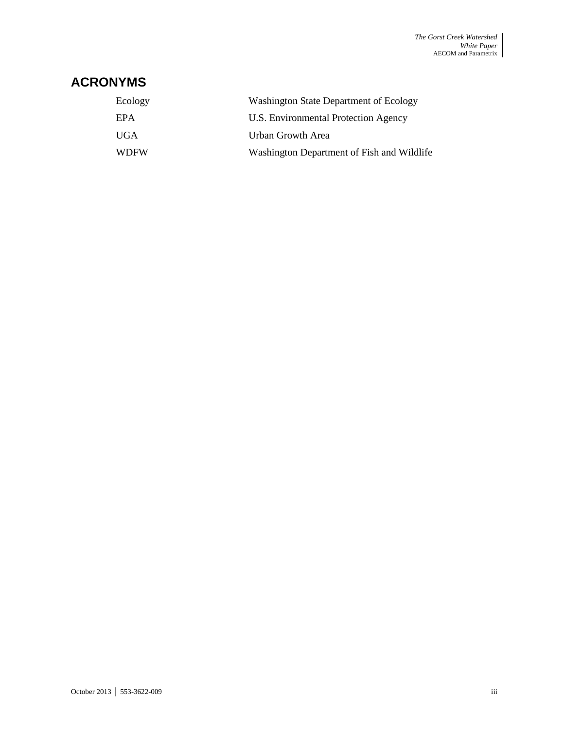# **ACRONYMS**

| Ecology     | <b>Washington State Department of Ecology</b> |
|-------------|-----------------------------------------------|
| EPA         | U.S. Environmental Protection Agency          |
| UGA.        | Urban Growth Area                             |
| <b>WDFW</b> | Washington Department of Fish and Wildlife    |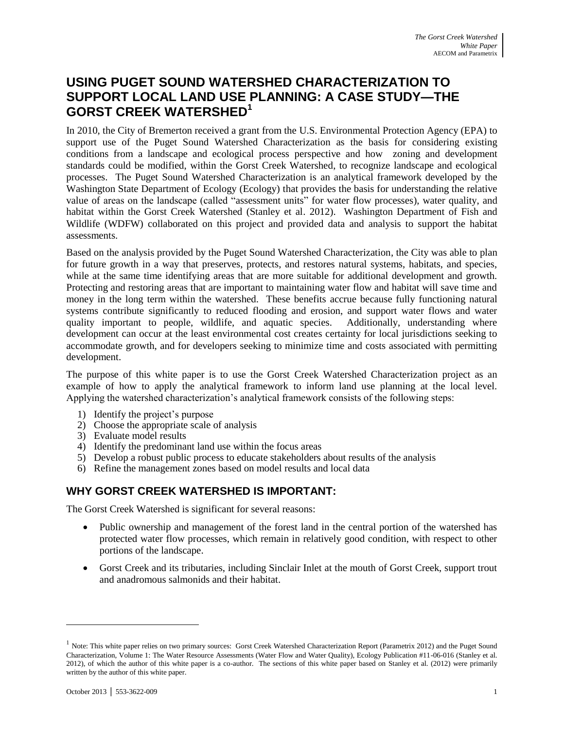# <span id="page-6-0"></span>**USING PUGET SOUND WATERSHED CHARACTERIZATION TO SUPPORT LOCAL LAND USE PLANNING: A CASE STUDY—THE GORST CREEK WATERSHED 1**

In 2010, the City of Bremerton received a grant from the U.S. Environmental Protection Agency (EPA) to support use of the Puget Sound Watershed Characterization as the basis for considering existing conditions from a landscape and ecological process perspective and how zoning and development standards could be modified, within the Gorst Creek Watershed, to recognize landscape and ecological processes. The Puget Sound Watershed Characterization is an analytical framework developed by the Washington State Department of Ecology (Ecology) that provides the basis for understanding the relative value of areas on the landscape (called "assessment units" for water flow processes), water quality, and habitat within the Gorst Creek Watershed (Stanley et al. 2012). Washington Department of Fish and Wildlife (WDFW) collaborated on this project and provided data and analysis to support the habitat assessments.

Based on the analysis provided by the Puget Sound Watershed Characterization, the City was able to plan for future growth in a way that preserves, protects, and restores natural systems, habitats, and species, while at the same time identifying areas that are more suitable for additional development and growth. Protecting and restoring areas that are important to maintaining water flow and habitat will save time and money in the long term within the watershed. These benefits accrue because fully functioning natural systems contribute significantly to reduced flooding and erosion, and support water flows and water quality important to people, wildlife, and aquatic species. Additionally, understanding where development can occur at the least environmental cost creates certainty for local jurisdictions seeking to accommodate growth, and for developers seeking to minimize time and costs associated with permitting development.

The purpose of this white paper is to use the Gorst Creek Watershed Characterization project as an example of how to apply the analytical framework to inform land use planning at the local level. Applying the watershed characterization's analytical framework consists of the following steps:

- 1) Identify the project's purpose
- 2) Choose the appropriate scale of analysis
- 3) Evaluate model results
- 4) Identify the predominant land use within the focus areas
- 5) Develop a robust public process to educate stakeholders about results of the analysis
- 6) Refine the management zones based on model results and local data

### <span id="page-6-1"></span>**WHY GORST CREEK WATERSHED IS IMPORTANT:**

The Gorst Creek Watershed is significant for several reasons:

- Public ownership and management of the forest land in the central portion of the watershed has protected water flow processes, which remain in relatively good condition, with respect to other portions of the landscape.
- Gorst Creek and its tributaries, including Sinclair Inlet at the mouth of Gorst Creek, support trout and anadromous salmonids and their habitat.

 $\overline{a}$ 

 $<sup>1</sup>$  Note: This white paper relies on two primary sources: Gorst Creek Watershed Characterization Report (Parametrix 2012) and the Puget Sound</sup> Characterization, Volume 1: The Water Resource Assessments (Water Flow and Water Quality), Ecology Publication #11-06-016 (Stanley et al. 2012), of which the author of this white paper is a co-author. The sections of this white paper based on Stanley et al. (2012) were primarily written by the author of this white paper.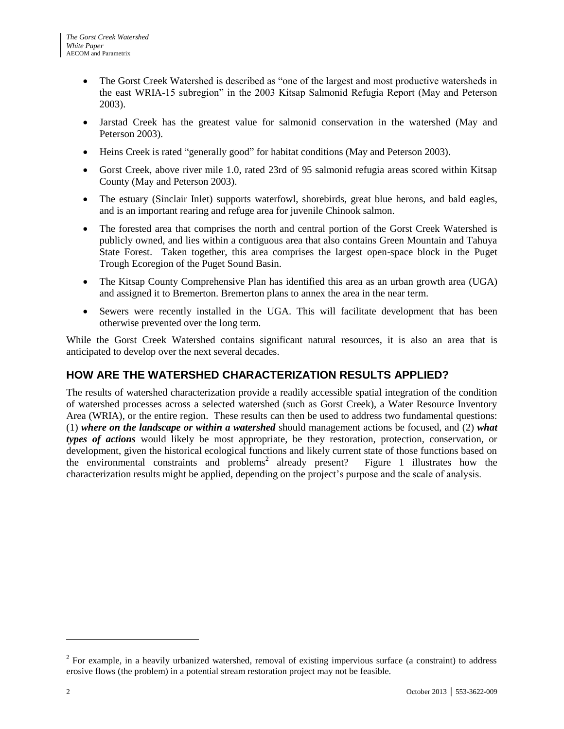- The Gorst Creek Watershed is described as "one of the largest and most productive watersheds in the east WRIA-15 subregion" in the 2003 Kitsap Salmonid Refugia Report (May and Peterson 2003).
- Jarstad Creek has the greatest value for salmonid conservation in the watershed (May and Peterson 2003).
- Heins Creek is rated "generally good" for habitat conditions (May and Peterson 2003).
- Gorst Creek, above river mile 1.0, rated 23rd of 95 salmonid refugia areas scored within Kitsap County (May and Peterson 2003).
- The estuary (Sinclair Inlet) supports waterfowl, shorebirds, great blue herons, and bald eagles, and is an important rearing and refuge area for juvenile Chinook salmon.
- The forested area that comprises the north and central portion of the Gorst Creek Watershed is publicly owned, and lies within a contiguous area that also contains Green Mountain and Tahuya State Forest. Taken together, this area comprises the largest open-space block in the Puget Trough Ecoregion of the Puget Sound Basin.
- The Kitsap County Comprehensive Plan has identified this area as an urban growth area (UGA) and assigned it to Bremerton. Bremerton plans to annex the area in the near term.
- Sewers were recently installed in the UGA. This will facilitate development that has been otherwise prevented over the long term.

While the Gorst Creek Watershed contains significant natural resources, it is also an area that is anticipated to develop over the next several decades.

### <span id="page-7-0"></span>**HOW ARE THE WATERSHED CHARACTERIZATION RESULTS APPLIED?**

The results of watershed characterization provide a readily accessible spatial integration of the condition of watershed processes across a selected watershed (such as Gorst Creek), a Water Resource Inventory Area (WRIA), or the entire region. These results can then be used to address two fundamental questions: (1) *where on the landscape or within a watershed* should management actions be focused, and (2) *what types of actions* would likely be most appropriate, be they restoration, protection, conservation, or development, given the historical ecological functions and likely current state of those functions based on the environmental constraints and  $\overline{p}$  roblems<sup>2</sup> already present? Figure 1 illustrates how the characterization results might be applied, depending on the project's purpose and the scale of analysis.

l

 $2^2$  For example, in a heavily urbanized watershed, removal of existing impervious surface (a constraint) to address erosive flows (the problem) in a potential stream restoration project may not be feasible.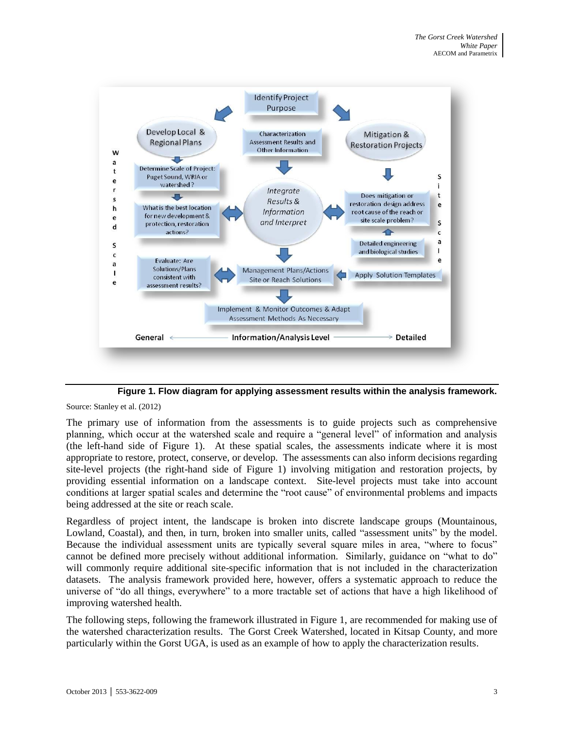

**Figure 1. Flow diagram for applying assessment results within the analysis framework.**

<span id="page-8-0"></span>Source: Stanley et al. (2012)

The primary use of information from the assessments is to guide projects such as comprehensive planning, which occur at the watershed scale and require a "general level" of information and analysis (the left-hand side of Figure 1). At these spatial scales, the assessments indicate where it is most appropriate to restore, protect, conserve, or develop. The assessments can also inform decisions regarding site-level projects (the right-hand side of Figure 1) involving mitigation and restoration projects, by providing essential information on a landscape context. Site-level projects must take into account conditions at larger spatial scales and determine the "root cause" of environmental problems and impacts being addressed at the site or reach scale.

Regardless of project intent, the landscape is broken into discrete landscape groups (Mountainous, Lowland, Coastal), and then, in turn, broken into smaller units, called "assessment units" by the model. Because the individual assessment units are typically several square miles in area, "where to focus" cannot be defined more precisely without additional information. Similarly, guidance on "what to do" will commonly require additional site-specific information that is not included in the characterization datasets. The analysis framework provided here, however, offers a systematic approach to reduce the universe of "do all things, everywhere" to a more tractable set of actions that have a high likelihood of improving watershed health.

The following steps, following the framework illustrated in Figure 1, are recommended for making use of the watershed characterization results. The Gorst Creek Watershed, located in Kitsap County, and more particularly within the Gorst UGA, is used as an example of how to apply the characterization results.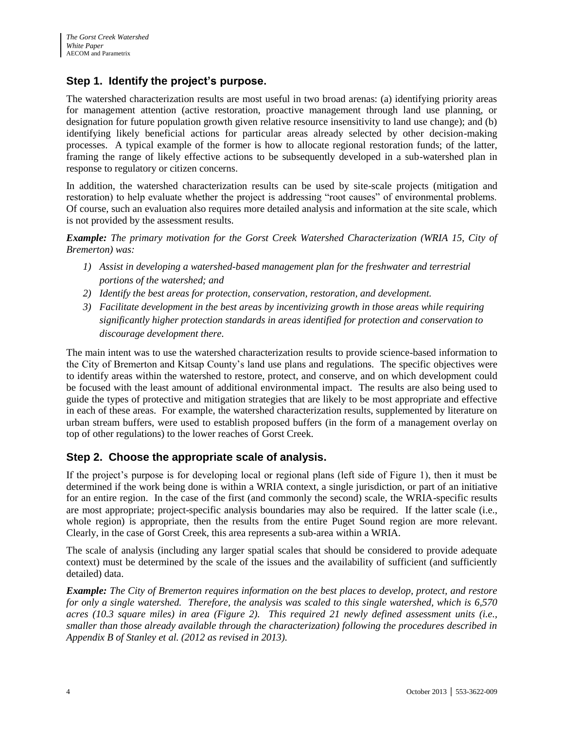## <span id="page-9-0"></span>**Step 1. Identify the project's purpose.**

The watershed characterization results are most useful in two broad arenas: (a) identifying priority areas for management attention (active restoration, proactive management through land use planning, or designation for future population growth given relative resource insensitivity to land use change); and (b) identifying likely beneficial actions for particular areas already selected by other decision-making processes. A typical example of the former is how to allocate regional restoration funds; of the latter, framing the range of likely effective actions to be subsequently developed in a sub-watershed plan in response to regulatory or citizen concerns.

In addition, the watershed characterization results can be used by site-scale projects (mitigation and restoration) to help evaluate whether the project is addressing "root causes" of environmental problems. Of course, such an evaluation also requires more detailed analysis and information at the site scale, which is not provided by the assessment results.

*Example: The primary motivation for the Gorst Creek Watershed Characterization (WRIA 15, City of Bremerton) was:*

- *1) Assist in developing a watershed-based management plan for the freshwater and terrestrial portions of the watershed; and*
- *2) Identify the best areas for protection, conservation, restoration, and development.*
- *3) Facilitate development in the best areas by incentivizing growth in those areas while requiring significantly higher protection standards in areas identified for protection and conservation to discourage development there.*

The main intent was to use the watershed characterization results to provide science-based information to the City of Bremerton and Kitsap County's land use plans and regulations. The specific objectives were to identify areas within the watershed to restore, protect, and conserve, and on which development could be focused with the least amount of additional environmental impact. The results are also being used to guide the types of protective and mitigation strategies that are likely to be most appropriate and effective in each of these areas. For example, the watershed characterization results, supplemented by literature on urban stream buffers, were used to establish proposed buffers (in the form of a management overlay on top of other regulations) to the lower reaches of Gorst Creek.

### <span id="page-9-1"></span>**Step 2. Choose the appropriate scale of analysis.**

If the project's purpose is for developing local or regional plans (left side of Figure 1), then it must be determined if the work being done is within a WRIA context, a single jurisdiction, or part of an initiative for an entire region. In the case of the first (and commonly the second) scale, the WRIA-specific results are most appropriate; project-specific analysis boundaries may also be required. If the latter scale (i.e., whole region) is appropriate, then the results from the entire Puget Sound region are more relevant. Clearly, in the case of Gorst Creek, this area represents a sub-area within a WRIA.

The scale of analysis (including any larger spatial scales that should be considered to provide adequate context) must be determined by the scale of the issues and the availability of sufficient (and sufficiently detailed) data.

*Example: The City of Bremerton requires information on the best places to develop, protect, and restore for only a single watershed. Therefore, the analysis was scaled to this single watershed, which is 6,570 acres (10.3 square miles) in area (Figure 2). This required 21 newly defined assessment units (i.e., smaller than those already available through the characterization) following the procedures described in Appendix B of Stanley et al. (2012 as revised in 2013).*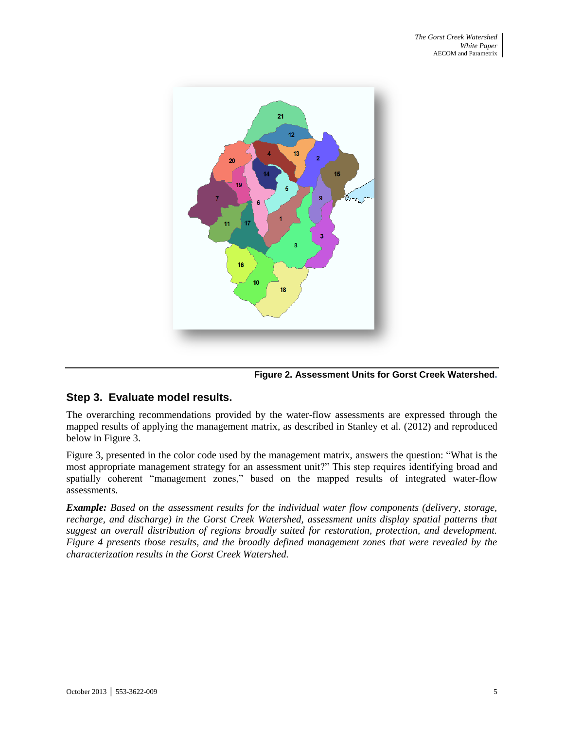

**Figure 2. Assessment Units for Gorst Creek Watershed.** 

#### <span id="page-10-1"></span><span id="page-10-0"></span>**Step 3. Evaluate model results.**

The overarching recommendations provided by the water-flow assessments are expressed through the mapped results of applying the management matrix, as described in Stanley et al. (2012) and reproduced below in Figure 3.

Figure 3, presented in the color code used by the management matrix, answers the question: "What is the most appropriate management strategy for an assessment unit?" This step requires identifying broad and spatially coherent "management zones," based on the mapped results of integrated water-flow assessments.

*Example: Based on the assessment results for the individual water flow components (delivery, storage, recharge, and discharge) in the Gorst Creek Watershed, assessment units display spatial patterns that suggest an overall distribution of regions broadly suited for restoration, protection, and development. Figure 4 presents those results, and the broadly defined management zones that were revealed by the characterization results in the Gorst Creek Watershed.*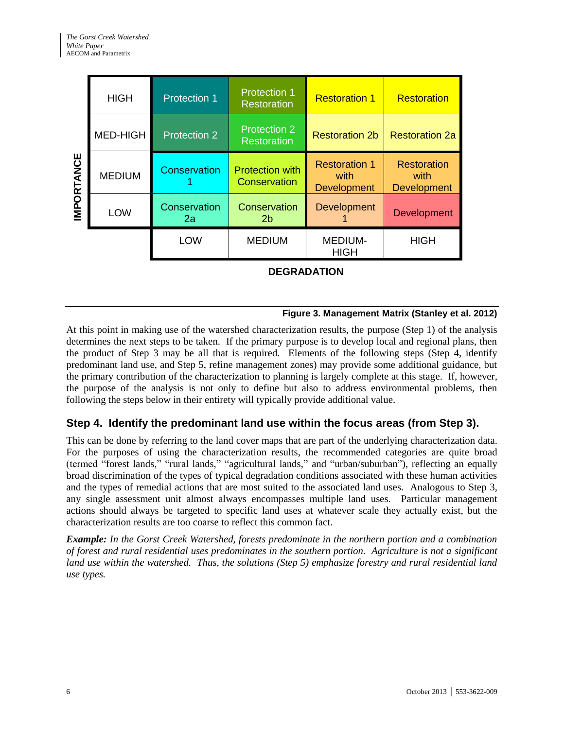| <b>IMPORTANCE</b>                                                                                                                                                                                                                                                                                                                                                                                                                                                                                                                                                                                                                                                                                                                                                                                                                                                                                                                                                                                                                                                                                                                                                                                                                                                                                                                                                                                                                                                                                                                                                                                                                                                                                                                                                                                                                                                                                                                                                                                                                                   | <b>HIGH</b>                 | <b>Protection 1</b> | <b>Protection 1</b><br><b>Restoration</b>     | <b>Restoration 1</b>                               | <b>Restoration</b>                               |  |  |  |  |  |
|-----------------------------------------------------------------------------------------------------------------------------------------------------------------------------------------------------------------------------------------------------------------------------------------------------------------------------------------------------------------------------------------------------------------------------------------------------------------------------------------------------------------------------------------------------------------------------------------------------------------------------------------------------------------------------------------------------------------------------------------------------------------------------------------------------------------------------------------------------------------------------------------------------------------------------------------------------------------------------------------------------------------------------------------------------------------------------------------------------------------------------------------------------------------------------------------------------------------------------------------------------------------------------------------------------------------------------------------------------------------------------------------------------------------------------------------------------------------------------------------------------------------------------------------------------------------------------------------------------------------------------------------------------------------------------------------------------------------------------------------------------------------------------------------------------------------------------------------------------------------------------------------------------------------------------------------------------------------------------------------------------------------------------------------------------|-----------------------------|---------------------|-----------------------------------------------|----------------------------------------------------|--------------------------------------------------|--|--|--|--|--|
|                                                                                                                                                                                                                                                                                                                                                                                                                                                                                                                                                                                                                                                                                                                                                                                                                                                                                                                                                                                                                                                                                                                                                                                                                                                                                                                                                                                                                                                                                                                                                                                                                                                                                                                                                                                                                                                                                                                                                                                                                                                     | <b>MED-HIGH</b>             | Protection 2        | <b>Protection 2</b><br><b>Restoration</b>     | <b>Restoration 2b</b>                              | <b>Restoration 2a</b>                            |  |  |  |  |  |
|                                                                                                                                                                                                                                                                                                                                                                                                                                                                                                                                                                                                                                                                                                                                                                                                                                                                                                                                                                                                                                                                                                                                                                                                                                                                                                                                                                                                                                                                                                                                                                                                                                                                                                                                                                                                                                                                                                                                                                                                                                                     | <b>MEDIUM</b>               | <b>Conservation</b> | <b>Protection with</b><br><b>Conservation</b> | <b>Restoration 1</b><br>with<br><b>Development</b> | <b>Restoration</b><br>with<br><b>Development</b> |  |  |  |  |  |
|                                                                                                                                                                                                                                                                                                                                                                                                                                                                                                                                                                                                                                                                                                                                                                                                                                                                                                                                                                                                                                                                                                                                                                                                                                                                                                                                                                                                                                                                                                                                                                                                                                                                                                                                                                                                                                                                                                                                                                                                                                                     | LOW                         | Conservation<br>2a  | Conservation<br>2 <sub>b</sub>                | Development                                        | Development                                      |  |  |  |  |  |
|                                                                                                                                                                                                                                                                                                                                                                                                                                                                                                                                                                                                                                                                                                                                                                                                                                                                                                                                                                                                                                                                                                                                                                                                                                                                                                                                                                                                                                                                                                                                                                                                                                                                                                                                                                                                                                                                                                                                                                                                                                                     |                             | LOW                 | <b>MEDIUM</b>                                 | <b>MEDIUM-</b><br><b>HIGH</b>                      | <b>HIGH</b>                                      |  |  |  |  |  |
|                                                                                                                                                                                                                                                                                                                                                                                                                                                                                                                                                                                                                                                                                                                                                                                                                                                                                                                                                                                                                                                                                                                                                                                                                                                                                                                                                                                                                                                                                                                                                                                                                                                                                                                                                                                                                                                                                                                                                                                                                                                     | <b>DEGRADATION</b>          |                     |                                               |                                                    |                                                  |  |  |  |  |  |
| Figure 3. Management Matrix (Stanley et al. 2012)                                                                                                                                                                                                                                                                                                                                                                                                                                                                                                                                                                                                                                                                                                                                                                                                                                                                                                                                                                                                                                                                                                                                                                                                                                                                                                                                                                                                                                                                                                                                                                                                                                                                                                                                                                                                                                                                                                                                                                                                   |                             |                     |                                               |                                                    |                                                  |  |  |  |  |  |
| At this point in making use of the watershed characterization results, the purpose (Step 1) of the analysis<br>determines the next steps to be taken. If the primary purpose is to develop local and regional plans, then<br>the product of Step 3 may be all that is required. Elements of the following steps (Step 4, identify<br>predominant land use, and Step 5, refine management zones) may provide some additional guidance, but<br>the primary contribution of the characterization to planning is largely complete at this stage. If, however,<br>the purpose of the analysis is not only to define but also to address environmental problems, then<br>following the steps below in their entirety will typically provide additional value.<br>Step 4. Identify the predominant land use within the focus areas (from Step 3).<br>This can be done by referring to the land cover maps that are part of the underlying characterization data.<br>For the purposes of using the characterization results, the recommended categories are quite broad<br>(termed "forest lands," "rural lands," "agricultural lands," and "urban/suburban"), reflecting an equally<br>broad discrimination of the types of typical degradation conditions associated with these human activities<br>and the types of remedial actions that are most suited to the associated land uses. Analogous to Step 3,<br>any single assessment unit almost always encompasses multiple land uses. Particular management<br>actions should always be targeted to specific land uses at whatever scale they actually exist, but the<br>characterization results are too coarse to reflect this common fact.<br><b>Example:</b> In the Gorst Creek Watershed, forests predominate in the northern portion and a combination<br>of forest and rural residential uses predominates in the southern portion. Agriculture is not a significant<br>land use within the watershed. Thus, the solutions (Step 5) emphasize forestry and rural residential land<br>use types. |                             |                     |                                               |                                                    |                                                  |  |  |  |  |  |
|                                                                                                                                                                                                                                                                                                                                                                                                                                                                                                                                                                                                                                                                                                                                                                                                                                                                                                                                                                                                                                                                                                                                                                                                                                                                                                                                                                                                                                                                                                                                                                                                                                                                                                                                                                                                                                                                                                                                                                                                                                                     |                             |                     |                                               |                                                    |                                                  |  |  |  |  |  |
|                                                                                                                                                                                                                                                                                                                                                                                                                                                                                                                                                                                                                                                                                                                                                                                                                                                                                                                                                                                                                                                                                                                                                                                                                                                                                                                                                                                                                                                                                                                                                                                                                                                                                                                                                                                                                                                                                                                                                                                                                                                     | October 2013   553-3622-009 |                     |                                               |                                                    |                                                  |  |  |  |  |  |

#### **Figure 3. Management Matrix (Stanley et al. 2012)**

#### <span id="page-11-1"></span><span id="page-11-0"></span>**Step 4. Identify the predominant land use within the focus areas (from Step 3).**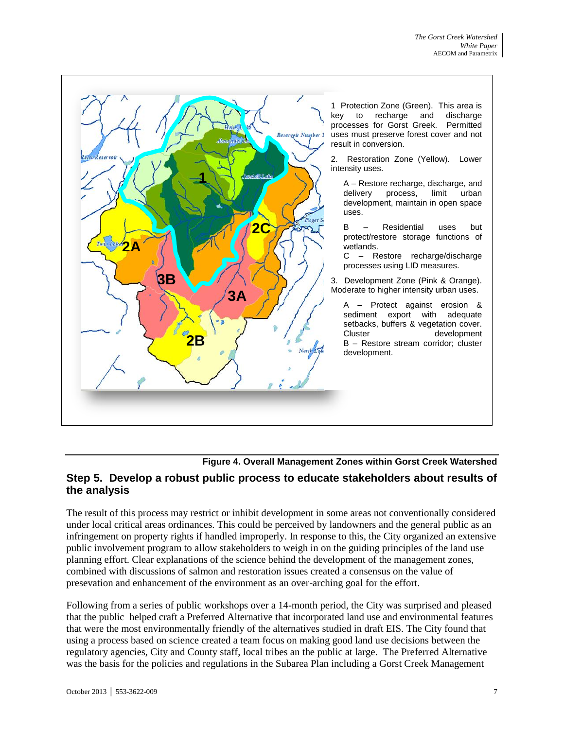

**Figure 4. Overall Management Zones within Gorst Creek Watershed**

### <span id="page-12-1"></span><span id="page-12-0"></span>**Step 5. Develop a robust public process to educate stakeholders about results of the analysis**

The result of this process may restrict or inhibit development in some areas not conventionally considered under local critical areas ordinances. This could be perceived by landowners and the general public as an infringement on property rights if handled improperly. In response to this, the City organized an extensive public involvement program to allow stakeholders to weigh in on the guiding principles of the land use planning effort. Clear explanations of the science behind the development of the management zones, combined with discussions of salmon and restoration issues created a consensus on the value of presevation and enhancement of the environment as an over-arching goal for the effort.

Following from a series of public workshops over a 14-month period, the City was surprised and pleased that the public helped craft a Preferred Alternative that incorporated land use and environmental features that were the most environmentally friendly of the alternatives studied in draft EIS. The City found that using a process based on science created a team focus on making good land use decisions between the regulatory agencies, City and County staff, local tribes an the public at large. The Preferred Alternative was the basis for the policies and regulations in the Subarea Plan including a Gorst Creek Management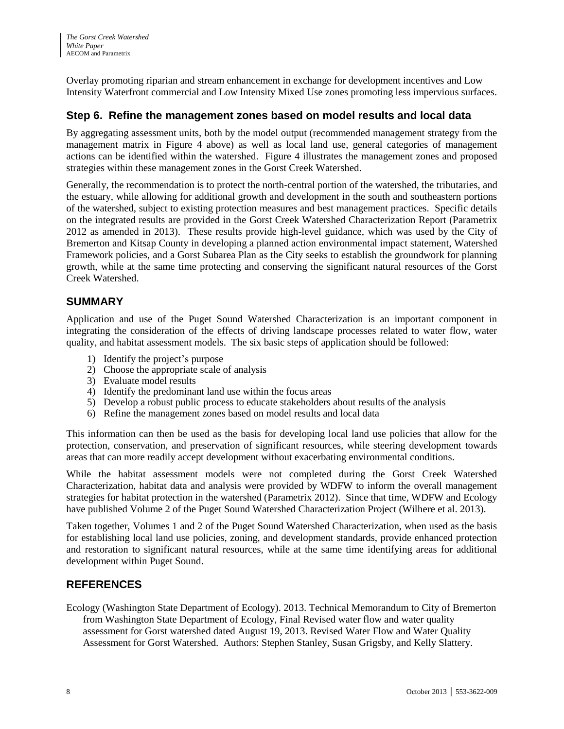Overlay promoting riparian and stream enhancement in exchange for development incentives and Low Intensity Waterfront commercial and Low Intensity Mixed Use zones promoting less impervious surfaces.

### **Step 6. Refine the management zones based on model results and local data**

By aggregating assessment units, both by the model output (recommended management strategy from the management matrix in Figure 4 above) as well as local land use, general categories of management actions can be identified within the watershed. Figure 4 illustrates the management zones and proposed strategies within these management zones in the Gorst Creek Watershed.

Generally, the recommendation is to protect the north-central portion of the watershed, the tributaries, and the estuary, while allowing for additional growth and development in the south and southeastern portions of the watershed, subject to existing protection measures and best management practices. Specific details on the integrated results are provided in the Gorst Creek Watershed Characterization Report (Parametrix 2012 as amended in 2013). These results provide high-level guidance, which was used by the City of Bremerton and Kitsap County in developing a planned action environmental impact statement, Watershed Framework policies, and a Gorst Subarea Plan as the City seeks to establish the groundwork for planning growth, while at the same time protecting and conserving the significant natural resources of the Gorst Creek Watershed.

#### <span id="page-13-0"></span>**SUMMARY**

Application and use of the Puget Sound Watershed Characterization is an important component in integrating the consideration of the effects of driving landscape processes related to water flow, water quality, and habitat assessment models. The six basic steps of application should be followed:

- 1) Identify the project's purpose
- 2) Choose the appropriate scale of analysis
- 3) Evaluate model results
- 4) Identify the predominant land use within the focus areas
- 5) Develop a robust public process to educate stakeholders about results of the analysis
- 6) Refine the management zones based on model results and local data

This information can then be used as the basis for developing local land use policies that allow for the protection, conservation, and preservation of significant resources, while steering development towards areas that can more readily accept development without exacerbating environmental conditions.

While the habitat assessment models were not completed during the Gorst Creek Watershed Characterization, habitat data and analysis were provided by WDFW to inform the overall management strategies for habitat protection in the watershed (Parametrix 2012). Since that time, WDFW and Ecology have published Volume 2 of the Puget Sound Watershed Characterization Project (Wilhere et al. 2013).

Taken together, Volumes 1 and 2 of the Puget Sound Watershed Characterization, when used as the basis for establishing local land use policies, zoning, and development standards, provide enhanced protection and restoration to significant natural resources, while at the same time identifying areas for additional development within Puget Sound.

#### <span id="page-13-1"></span>**REFERENCES**

Ecology (Washington State Department of Ecology). 2013. Technical Memorandum to City of Bremerton from Washington State Department of Ecology, Final Revised water flow and water quality assessment for Gorst watershed dated August 19, 2013. Revised Water Flow and Water Quality Assessment for Gorst Watershed. Authors: Stephen Stanley, Susan Grigsby, and Kelly Slattery.